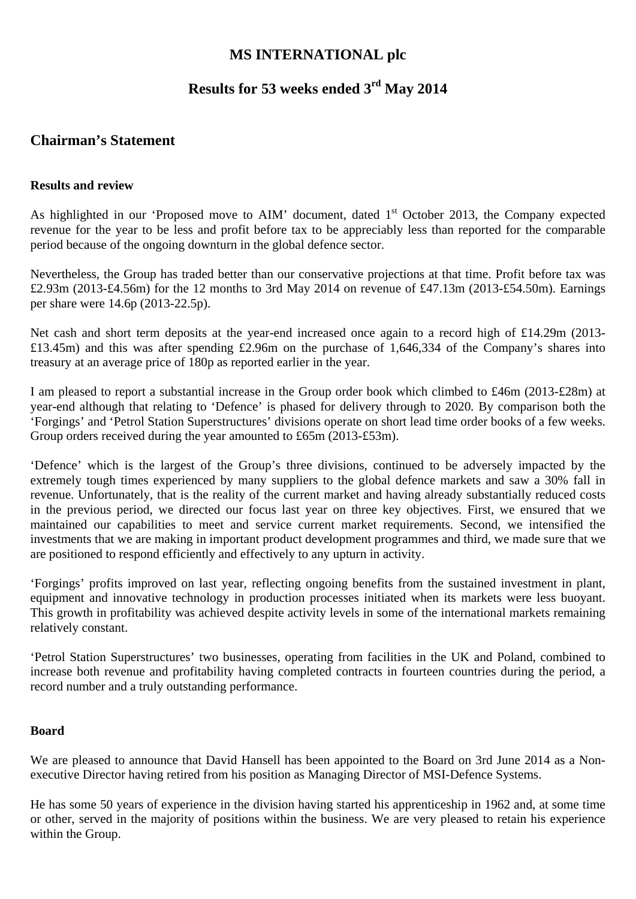## **MS INTERNATIONAL plc**

## **Results for 53 weeks ended 3rd May 2014**

## **Chairman's Statement**

### **Results and review**

As highlighted in our 'Proposed move to AIM' document, dated 1<sup>st</sup> October 2013, the Company expected revenue for the year to be less and profit before tax to be appreciably less than reported for the comparable period because of the ongoing downturn in the global defence sector.

Nevertheless, the Group has traded better than our conservative projections at that time. Profit before tax was £2.93m (2013-£4.56m) for the 12 months to 3rd May 2014 on revenue of £47.13m (2013-£54.50m). Earnings per share were 14.6p (2013-22.5p).

Net cash and short term deposits at the year-end increased once again to a record high of £14.29m (2013- £13.45m) and this was after spending £2.96m on the purchase of 1,646,334 of the Company's shares into treasury at an average price of 180p as reported earlier in the year.

I am pleased to report a substantial increase in the Group order book which climbed to £46m (2013-£28m) at year-end although that relating to 'Defence' is phased for delivery through to 2020*.* By comparison both the 'Forgings' and 'Petrol Station Superstructures' divisions operate on short lead time order books of a few weeks. Group orders received during the year amounted to £65m (2013-£53m).

'Defence' which is the largest of the Group's three divisions, continued to be adversely impacted by the extremely tough times experienced by many suppliers to the global defence markets and saw a 30% fall in revenue. Unfortunately, that is the reality of the current market and having already substantially reduced costs in the previous period, we directed our focus last year on three key objectives. First, we ensured that we maintained our capabilities to meet and service current market requirements. Second, we intensified the investments that we are making in important product development programmes and third, we made sure that we are positioned to respond efficiently and effectively to any upturn in activity.

'Forgings' profits improved on last year, reflecting ongoing benefits from the sustained investment in plant, equipment and innovative technology in production processes initiated when its markets were less buoyant. This growth in profitability was achieved despite activity levels in some of the international markets remaining relatively constant.

'Petrol Station Superstructures' two businesses, operating from facilities in the UK and Poland, combined to increase both revenue and profitability having completed contracts in fourteen countries during the period, a record number and a truly outstanding performance.

#### **Board**

We are pleased to announce that David Hansell has been appointed to the Board on 3rd June 2014 as a Nonexecutive Director having retired from his position as Managing Director of MSI-Defence Systems.

He has some 50 years of experience in the division having started his apprenticeship in 1962 and, at some time or other, served in the majority of positions within the business. We are very pleased to retain his experience within the Group.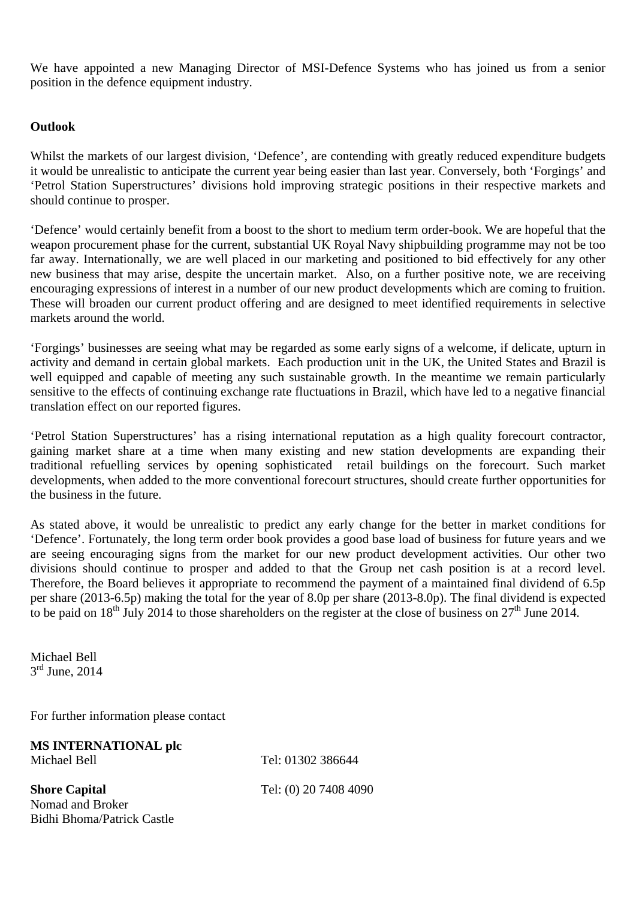We have appointed a new Managing Director of MSI-Defence Systems who has joined us from a senior position in the defence equipment industry.

### **Outlook**

Whilst the markets of our largest division, 'Defence', are contending with greatly reduced expenditure budgets it would be unrealistic to anticipate the current year being easier than last year. Conversely, both 'Forgings' and 'Petrol Station Superstructures' divisions hold improving strategic positions in their respective markets and should continue to prosper.

'Defence' would certainly benefit from a boost to the short to medium term order-book. We are hopeful that the weapon procurement phase for the current, substantial UK Royal Navy shipbuilding programme may not be too far away. Internationally, we are well placed in our marketing and positioned to bid effectively for any other new business that may arise, despite the uncertain market. Also, on a further positive note, we are receiving encouraging expressions of interest in a number of our new product developments which are coming to fruition. These will broaden our current product offering and are designed to meet identified requirements in selective markets around the world.

'Forgings' businesses are seeing what may be regarded as some early signs of a welcome, if delicate, upturn in activity and demand in certain global markets. Each production unit in the UK, the United States and Brazil is well equipped and capable of meeting any such sustainable growth. In the meantime we remain particularly sensitive to the effects of continuing exchange rate fluctuations in Brazil, which have led to a negative financial translation effect on our reported figures.

'Petrol Station Superstructures' has a rising international reputation as a high quality forecourt contractor, gaining market share at a time when many existing and new station developments are expanding their traditional refuelling services by opening sophisticated retail buildings on the forecourt. Such market developments, when added to the more conventional forecourt structures, should create further opportunities for the business in the future.

As stated above, it would be unrealistic to predict any early change for the better in market conditions for 'Defence'. Fortunately, the long term order book provides a good base load of business for future years and we are seeing encouraging signs from the market for our new product development activities. Our other two divisions should continue to prosper and added to that the Group net cash position is at a record level. Therefore, the Board believes it appropriate to recommend the payment of a maintained final dividend of 6.5p per share (2013-6.5p) making the total for the year of 8.0p per share (2013-8.0p). The final dividend is expected to be paid on  $18^{th}$  July 2014 to those shareholders on the register at the close of business on  $27^{th}$  June 2014.

Michael Bell 3<sup>rd</sup> June, 2014

For further information please contact

**MS INTERNATIONAL plc**  Michael Bell **Tel: 01302 386644** 

**Shore Capital** Tel: (0) 20 7408 4090 Nomad and Broker Bidhi Bhoma/Patrick Castle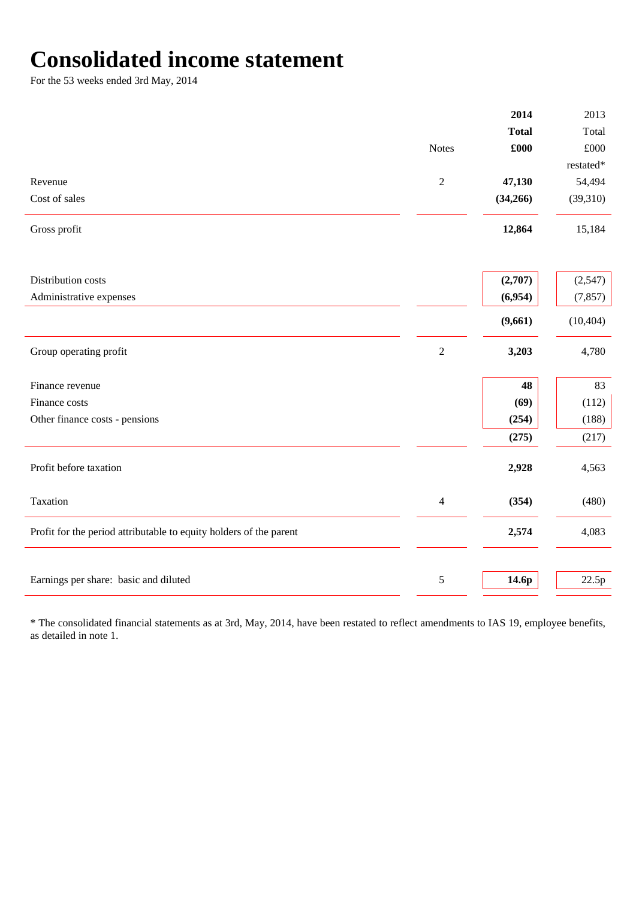## **Consolidated income statement**

For the 53 weeks ended 3rd May, 2014

|                                                                    |                | 2014         | 2013         |
|--------------------------------------------------------------------|----------------|--------------|--------------|
|                                                                    |                | <b>Total</b> | Total        |
|                                                                    | <b>Notes</b>   | £000         | $\pounds000$ |
|                                                                    |                |              | restated*    |
| Revenue                                                            | $\overline{2}$ | 47,130       | 54,494       |
| Cost of sales                                                      |                | (34,266)     | (39,310)     |
| Gross profit                                                       |                | 12,864       | 15,184       |
| Distribution costs                                                 |                | (2,707)      | (2,547)      |
| Administrative expenses                                            |                | (6,954)      | (7, 857)     |
|                                                                    |                |              |              |
|                                                                    |                | (9,661)      | (10, 404)    |
| Group operating profit                                             | $\sqrt{2}$     | 3,203        | 4,780        |
| Finance revenue                                                    |                | 48           | 83           |
| Finance costs                                                      |                | (69)         | (112)        |
| Other finance costs - pensions                                     |                | (254)        | (188)        |
|                                                                    |                | (275)        | (217)        |
| Profit before taxation                                             |                | 2,928        | 4,563        |
| Taxation                                                           | $\overline{4}$ | (354)        | (480)        |
| Profit for the period attributable to equity holders of the parent |                | 2,574        | 4,083        |
|                                                                    |                |              |              |
| Earnings per share: basic and diluted                              | 5              | 14.6p        | 22.5p        |
|                                                                    |                |              |              |

\* The consolidated financial statements as at 3rd, May, 2014, have been restated to reflect amendments to IAS 19, employee benefits, as detailed in note 1.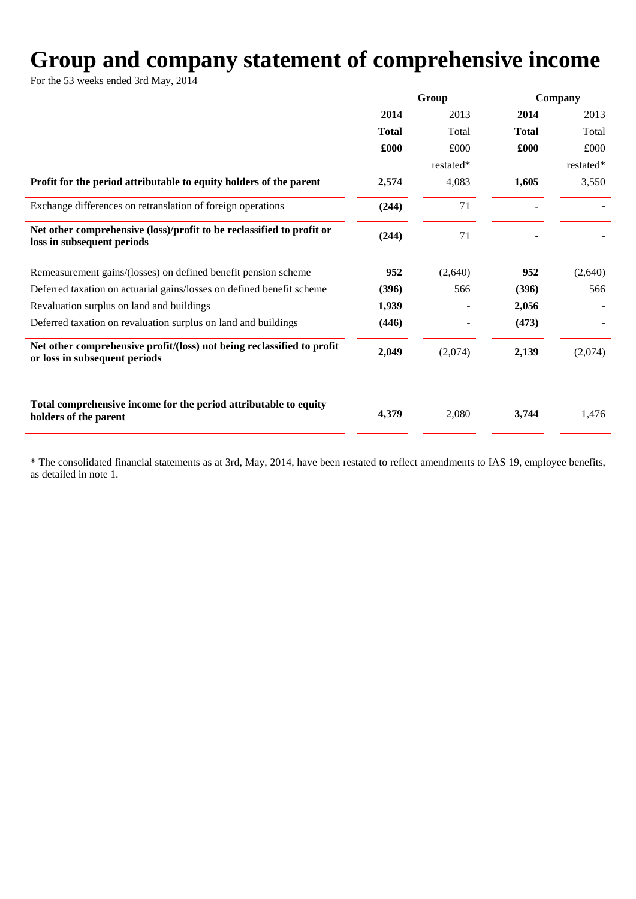# **Group and company statement of comprehensive income**

For the 53 weeks ended 3rd May, 2014

|                                                                                                         | Group        |           | Company      |           |
|---------------------------------------------------------------------------------------------------------|--------------|-----------|--------------|-----------|
|                                                                                                         | 2014         | 2013      | 2014         | 2013      |
|                                                                                                         | <b>Total</b> | Total     | <b>Total</b> | Total     |
|                                                                                                         | £000         | £000      | £000         | £000      |
|                                                                                                         |              | restated* |              | restated* |
| Profit for the period attributable to equity holders of the parent                                      | 2,574        | 4,083     | 1,605        | 3,550     |
| Exchange differences on retranslation of foreign operations                                             | (244)        | 71        |              |           |
| Net other comprehensive (loss)/profit to be reclassified to profit or<br>loss in subsequent periods     | (244)        | 71        |              |           |
| Remeasurement gains/(losses) on defined benefit pension scheme                                          | 952          | (2,640)   | 952          | (2,640)   |
| Deferred taxation on actuarial gains/losses on defined benefit scheme                                   | (396)        | 566       | (396)        | 566       |
| Revaluation surplus on land and buildings                                                               | 1,939        |           | 2,056        |           |
| Deferred taxation on revaluation surplus on land and buildings                                          | (446)        |           | (473)        |           |
| Net other comprehensive profit/(loss) not being reclassified to profit<br>or loss in subsequent periods | 2,049        | (2,074)   | 2,139        | (2,074)   |
|                                                                                                         |              |           |              |           |
| Total comprehensive income for the period attributable to equity<br>holders of the parent               | 4,379        | 2,080     | 3,744        | 1,476     |
|                                                                                                         |              |           |              |           |

\* The consolidated financial statements as at 3rd, May, 2014, have been restated to reflect amendments to IAS 19, employee benefits, as detailed in note 1.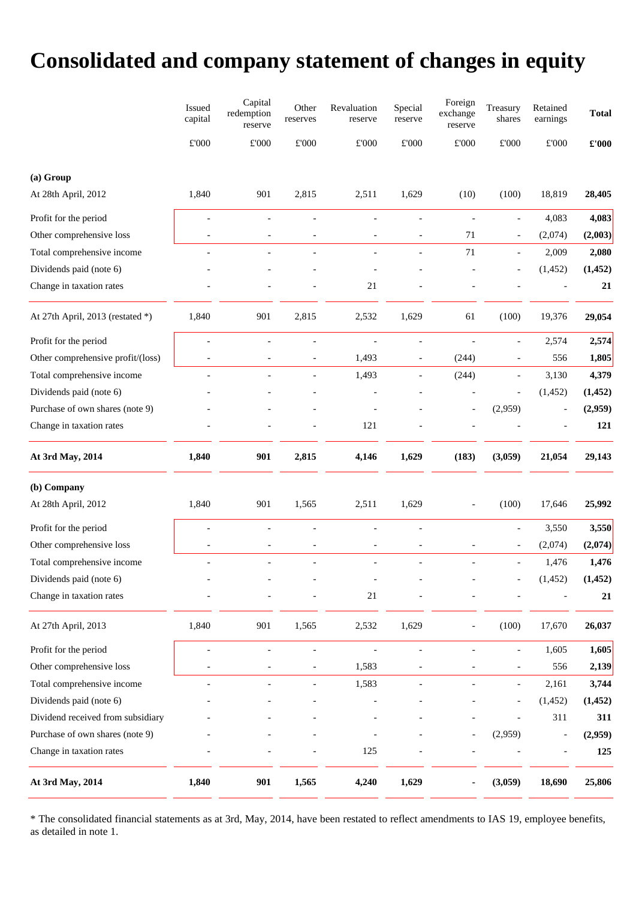# **Consolidated and company statement of changes in equity**

|                                   | Issued<br>capital        | Capital<br>redemption<br>reserve | Other<br>reserves        | Revaluation<br>reserve       | Special<br>reserve       | Foreign<br>exchange<br>reserve | Treasury<br>shares       | Retained<br>earnings     | <b>Total</b>                          |
|-----------------------------------|--------------------------|----------------------------------|--------------------------|------------------------------|--------------------------|--------------------------------|--------------------------|--------------------------|---------------------------------------|
|                                   | $\pounds 000$            | $\pounds 000$                    | $\pounds 000$            | $\pounds 000$                | $\pounds 000$            | $\pounds 000$                  | $\pounds 000$            | $\pounds 000$            | $\pmb{\pounds}^{\bullet}\mathbf{000}$ |
| (a) Group                         |                          |                                  |                          |                              |                          |                                |                          |                          |                                       |
| At 28th April, 2012               | 1,840                    | 901                              | 2,815                    | 2,511                        | 1,629                    | (10)                           | (100)                    | 18,819                   | 28,405                                |
| Profit for the period             | $\overline{a}$           | $\overline{a}$                   | $\overline{a}$           | $\overline{\phantom{a}}$     | $\overline{a}$           | $\blacksquare$                 | $\overline{a}$           | 4,083                    | 4,083                                 |
| Other comprehensive loss          |                          |                                  |                          |                              |                          | 71                             | $\overline{\phantom{a}}$ | (2,074)                  | (2,003)                               |
| Total comprehensive income        | $\overline{\phantom{a}}$ |                                  | $\overline{\phantom{a}}$ | $\overline{\phantom{a}}$     | $\overline{\phantom{a}}$ | $71\,$                         | $\overline{\phantom{a}}$ | 2,009                    | 2,080                                 |
| Dividends paid (note 6)           |                          |                                  |                          |                              |                          |                                |                          | (1, 452)                 | (1, 452)                              |
| Change in taxation rates          |                          |                                  |                          | $21\,$                       |                          |                                |                          |                          | 21                                    |
| At 27th April, 2013 (restated *)  | 1,840                    | 901                              | 2,815                    | 2,532                        | 1,629                    | 61                             | (100)                    | 19,376                   | 29,054                                |
| Profit for the period             |                          |                                  | $\overline{a}$           |                              |                          |                                |                          | 2,574                    | 2,574                                 |
| Other comprehensive profit/(loss) |                          |                                  |                          | 1,493                        |                          | (244)                          |                          | 556                      | 1,805                                 |
| Total comprehensive income        |                          |                                  | $\overline{a}$           | 1,493                        | $\overline{\phantom{a}}$ | (244)                          | $\overline{\phantom{a}}$ | 3,130                    | 4,379                                 |
| Dividends paid (note 6)           |                          |                                  |                          |                              |                          |                                | $\overline{a}$           | (1, 452)                 | (1, 452)                              |
| Purchase of own shares (note 9)   |                          |                                  |                          |                              |                          |                                | (2,959)                  | $\overline{\phantom{a}}$ | (2,959)                               |
| Change in taxation rates          |                          |                                  |                          | 121                          |                          |                                |                          |                          | 121                                   |
| At 3rd May, 2014                  | 1,840                    | 901                              | 2,815                    | 4,146                        | 1,629                    | (183)                          | (3,059)                  | 21,054                   | 29,143                                |
| (b) Company                       |                          |                                  |                          |                              |                          |                                |                          |                          |                                       |
| At 28th April, 2012               | 1,840                    | 901                              | 1,565                    | 2,511                        | 1,629                    |                                | (100)                    | 17,646                   | 25,992                                |
| Profit for the period             | $\overline{a}$           |                                  | $\overline{a}$           |                              | $\overline{a}$           |                                | $\overline{a}$           | 3,550                    | 3,550                                 |
| Other comprehensive loss          | $\overline{a}$           | $\overline{\phantom{a}}$         | $\overline{\phantom{a}}$ | $\overline{\phantom{a}}$     | $\overline{\phantom{a}}$ |                                | $\overline{a}$           | (2,074)                  | (2,074)                               |
| Total comprehensive income        | $\overline{a}$           | $\overline{\phantom{a}}$         | $\overline{\phantom{a}}$ | $\overline{\phantom{a}}$     | $\overline{a}$           | $\blacksquare$                 | $\overline{\phantom{a}}$ | 1,476                    | 1,476                                 |
| Dividends paid (note 6)           | $\overline{a}$           |                                  |                          | $\qquad \qquad \blacksquare$ |                          |                                |                          | (1, 452)                 | (1, 452)                              |
| Change in taxation rates          |                          |                                  |                          | $21\,$                       |                          |                                |                          |                          | 21                                    |
| At 27th April, 2013               | 1,840                    | 901                              | 1,565                    | 2,532                        | 1,629                    |                                | (100)                    | 17,670                   | 26,037                                |
| Profit for the period             | $\overline{a}$           | $\overline{a}$                   | $\blacksquare$           | $\overline{\phantom{a}}$     | $\overline{a}$           | $\overline{a}$                 | $\overline{\phantom{a}}$ | 1,605                    | 1,605                                 |
| Other comprehensive loss          |                          |                                  | $\overline{\phantom{a}}$ | 1,583                        |                          |                                |                          | 556                      | 2,139                                 |
| Total comprehensive income        |                          | $\overline{a}$                   | $\overline{\phantom{a}}$ | 1,583                        | $\overline{a}$           | $\overline{a}$                 | $\overline{\phantom{a}}$ | 2,161                    | 3,744                                 |
| Dividends paid (note 6)           |                          |                                  |                          |                              |                          |                                |                          | (1, 452)                 | (1, 452)                              |
| Dividend received from subsidiary |                          |                                  |                          |                              |                          |                                |                          | 311                      | 311                                   |
| Purchase of own shares (note 9)   |                          |                                  |                          |                              |                          |                                | (2,959)                  | $\overline{\phantom{a}}$ | (2,959)                               |
| Change in taxation rates          |                          |                                  |                          | 125                          |                          |                                |                          |                          | 125                                   |
| At 3rd May, 2014                  | 1,840                    | 901                              | 1,565                    | 4,240                        | 1,629                    |                                | (3,059)                  | 18,690                   | 25,806                                |

\* The consolidated financial statements as at 3rd, May, 2014, have been restated to reflect amendments to IAS 19, employee benefits, as detailed in note 1.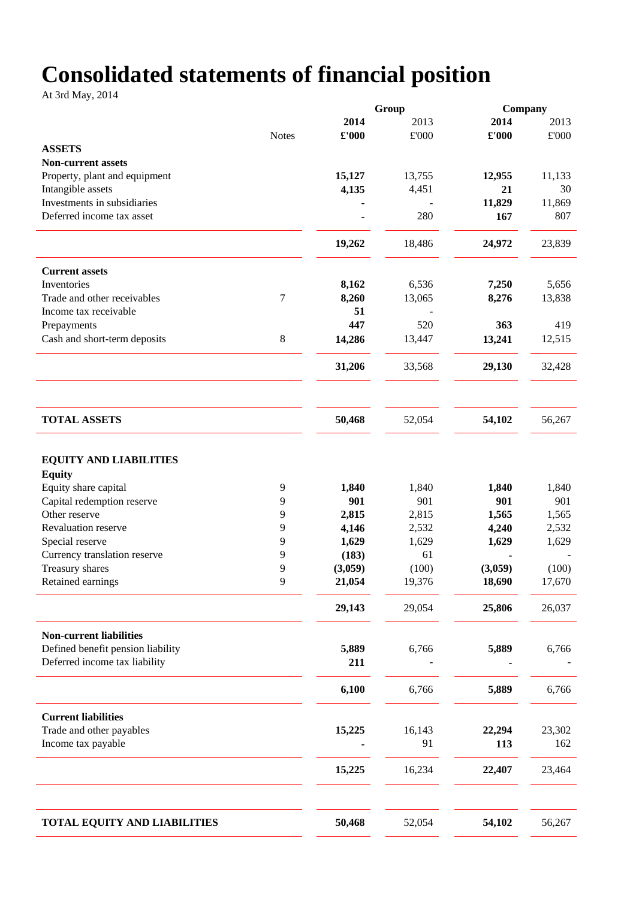# **Consolidated statements of financial position**

At 3rd May, 2014

|                                                                                                                       |              | Group                 |                       |                       | Company               |  |
|-----------------------------------------------------------------------------------------------------------------------|--------------|-----------------------|-----------------------|-----------------------|-----------------------|--|
|                                                                                                                       |              | 2014                  | 2013                  | 2014                  | 2013                  |  |
|                                                                                                                       | <b>Notes</b> | £'000                 | $\pounds 000$         | £'000                 | $\pounds 000$         |  |
| <b>ASSETS</b>                                                                                                         |              |                       |                       |                       |                       |  |
| <b>Non-current assets</b>                                                                                             |              |                       |                       |                       |                       |  |
| Property, plant and equipment                                                                                         |              | 15,127                | 13,755                | 12,955                | 11,133                |  |
| Intangible assets                                                                                                     |              | 4,135                 | 4,451                 | 21                    | 30                    |  |
| Investments in subsidiaries                                                                                           |              |                       |                       | 11,829                | 11,869                |  |
| Deferred income tax asset                                                                                             |              |                       | 280                   | 167                   | 807                   |  |
|                                                                                                                       |              |                       |                       |                       |                       |  |
|                                                                                                                       |              | 19,262                | 18,486                | 24,972                | 23,839                |  |
| <b>Current assets</b>                                                                                                 |              |                       |                       |                       |                       |  |
| Inventories                                                                                                           |              | 8,162                 | 6,536                 | 7,250                 | 5,656                 |  |
| Trade and other receivables                                                                                           | 7            | 8,260                 | 13,065                | 8,276                 | 13,838                |  |
| Income tax receivable                                                                                                 |              | 51                    |                       |                       |                       |  |
| Prepayments                                                                                                           |              | 447                   | 520                   | 363                   | 419                   |  |
|                                                                                                                       | $8\,$        |                       |                       |                       |                       |  |
| Cash and short-term deposits                                                                                          |              | 14,286                | 13,447                | 13,241                | 12,515                |  |
|                                                                                                                       |              | 31,206                | 33,568                | 29,130                | 32,428                |  |
|                                                                                                                       |              |                       |                       |                       |                       |  |
| <b>TOTAL ASSETS</b>                                                                                                   |              | 50,468                | 52,054                | 54,102                | 56,267                |  |
| <b>EQUITY AND LIABILITIES</b><br><b>Equity</b><br>Equity share capital<br>Capital redemption reserve<br>Other reserve | 9<br>9<br>9  | 1,840<br>901<br>2,815 | 1,840<br>901<br>2,815 | 1,840<br>901<br>1,565 | 1,840<br>901<br>1,565 |  |
| Revaluation reserve                                                                                                   | 9            | 4,146                 | 2,532                 | 4,240                 | 2,532                 |  |
| Special reserve                                                                                                       | 9            | 1,629                 | 1,629                 | 1,629                 | 1,629                 |  |
| Currency translation reserve                                                                                          | 9            | (183)                 | 61                    |                       |                       |  |
| Treasury shares                                                                                                       | 9            | (3,059)               | (100)                 | (3,059)               | (100)                 |  |
| Retained earnings                                                                                                     | 9            | 21,054                | 19,376                | 18,690                | 17,670                |  |
|                                                                                                                       |              | 29,143                | 29,054                | 25,806                | 26,037                |  |
| <b>Non-current liabilities</b>                                                                                        |              |                       |                       |                       |                       |  |
| Defined benefit pension liability                                                                                     |              | 5,889                 | 6,766                 | 5,889                 | 6,766                 |  |
| Deferred income tax liability                                                                                         |              | 211                   |                       |                       |                       |  |
|                                                                                                                       |              | 6,100                 | 6,766                 | 5,889                 | 6,766                 |  |
| <b>Current liabilities</b><br>Trade and other payables<br>Income tax payable                                          |              | 15,225                | 16,143<br>91          | 22,294<br>113         | 23,302<br>162         |  |
|                                                                                                                       |              | 15,225                | 16,234                | 22,407                | 23,464                |  |
|                                                                                                                       |              |                       |                       |                       |                       |  |
| <b>TOTAL EQUITY AND LIABILITIES</b>                                                                                   |              | 50,468                | 52,054                | 54,102                | 56,267                |  |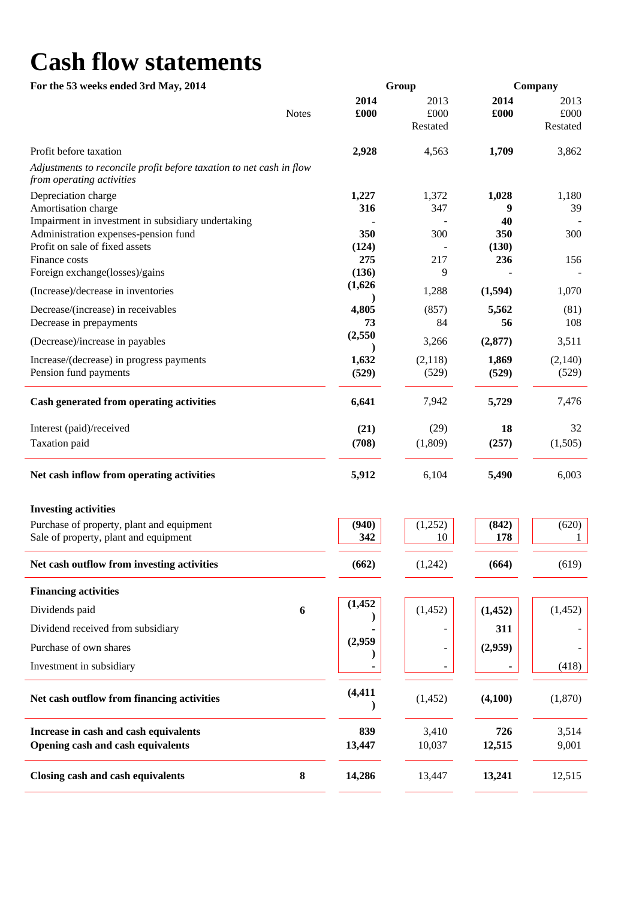# **Cash flow statements**

| For the 53 weeks ended 3rd May, 2014                                   |                      | Group    |              | Company  |  |  |
|------------------------------------------------------------------------|----------------------|----------|--------------|----------|--|--|
|                                                                        | 2014                 | 2013     | 2014         | 2013     |  |  |
|                                                                        | <b>Notes</b><br>£000 | £000     | £000         | £000     |  |  |
|                                                                        |                      | Restated |              | Restated |  |  |
| Profit before taxation                                                 | 2,928                | 4,563    | 1,709        | 3,862    |  |  |
| Adjustments to reconcile profit before taxation to net cash in flow    |                      |          |              |          |  |  |
| from operating activities                                              |                      |          |              |          |  |  |
| Depreciation charge                                                    | 1,227                | 1,372    | 1,028        | 1,180    |  |  |
| Amortisation charge                                                    | 316                  | 347      | 9            | 39       |  |  |
| Impairment in investment in subsidiary undertaking                     | 350                  | 300      | 40           |          |  |  |
| Administration expenses-pension fund<br>Profit on sale of fixed assets | (124)                |          | 350<br>(130) | 300      |  |  |
| Finance costs                                                          | 275                  | 217      | 236          | 156      |  |  |
| Foreign exchange(losses)/gains                                         | (136)                | 9        |              |          |  |  |
| (Increase)/decrease in inventories                                     | (1,626)              | 1,288    | (1,594)      | 1,070    |  |  |
|                                                                        |                      |          |              |          |  |  |
| Decrease/(increase) in receivables                                     | 4,805                | (857)    | 5,562        | (81)     |  |  |
| Decrease in prepayments                                                | 73<br>(2,550)        | 84       | 56           | 108      |  |  |
| (Decrease)/increase in payables                                        |                      | 3,266    | (2,877)      | 3,511    |  |  |
| Increase/(decrease) in progress payments                               | 1,632                | (2,118)  | 1,869        | (2,140)  |  |  |
| Pension fund payments                                                  | (529)                | (529)    | (529)        | (529)    |  |  |
| Cash generated from operating activities                               | 6,641                | 7,942    | 5,729        | 7,476    |  |  |
| Interest (paid)/received                                               | (21)                 | (29)     | 18           | 32       |  |  |
| Taxation paid                                                          | (708)                | (1,809)  | (257)        | (1,505)  |  |  |
| Net cash inflow from operating activities                              | 5,912                | 6,104    | 5,490        | 6,003    |  |  |
| <b>Investing activities</b>                                            |                      |          |              |          |  |  |
| Purchase of property, plant and equipment                              | (940)                | (1,252)  | (842)        | (620)    |  |  |
| Sale of property, plant and equipment                                  | 342                  | 10       | 178          |          |  |  |
| Net cash outflow from investing activities                             | (662)                | (1,242)  | (664)        | (619)    |  |  |
| <b>Financing activities</b>                                            |                      |          |              |          |  |  |
| Dividends paid                                                         | (1, 452)<br>6        | (1, 452) | (1, 452)     | (1,452)  |  |  |
| Dividend received from subsidiary                                      |                      |          | 311          |          |  |  |
| Purchase of own shares                                                 | (2,959)              |          | (2,959)      |          |  |  |
| Investment in subsidiary                                               |                      |          |              | (418)    |  |  |
| Net cash outflow from financing activities                             | (4, 411)             | (1, 452) | (4,100)      | (1,870)  |  |  |
| Increase in cash and cash equivalents                                  | 839                  | 3,410    | 726          | 3,514    |  |  |
| Opening cash and cash equivalents                                      | 13,447               | 10,037   | 12,515       | 9,001    |  |  |
| Closing cash and cash equivalents                                      | ${\bf 8}$<br>14,286  | 13,447   | 13,241       | 12,515   |  |  |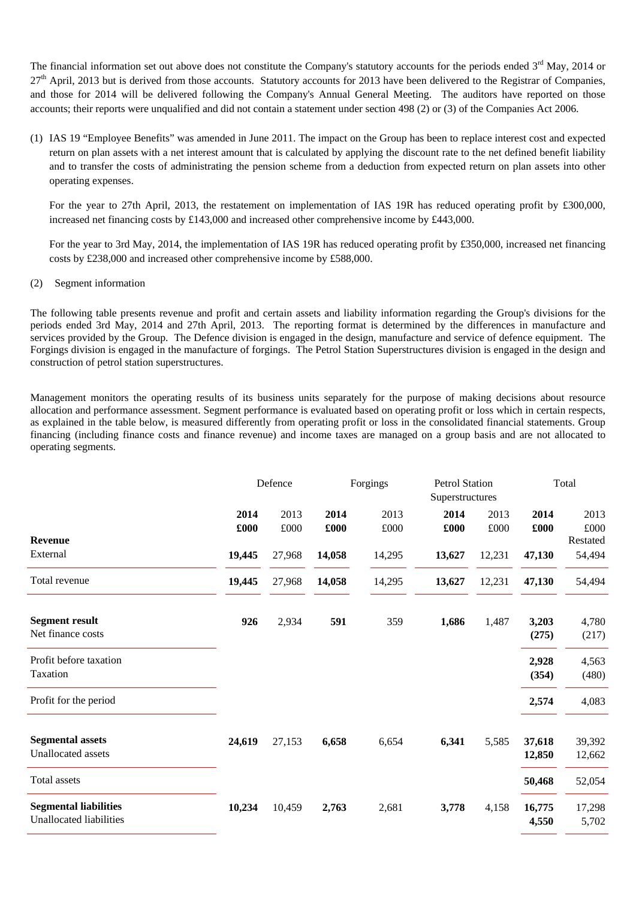The financial information set out above does not constitute the Company's statutory accounts for the periods ended  $3<sup>rd</sup>$  May, 2014 or  $27<sup>th</sup>$  April, 2013 but is derived from those accounts. Statutory accounts for 2013 have been delivered to the Registrar of Companies, and those for 2014 will be delivered following the Company's Annual General Meeting. The auditors have reported on those accounts; their reports were unqualified and did not contain a statement under section 498 (2) or (3) of the Companies Act 2006.

(1) IAS 19 "Employee Benefits" was amended in June 2011. The impact on the Group has been to replace interest cost and expected return on plan assets with a net interest amount that is calculated by applying the discount rate to the net defined benefit liability and to transfer the costs of administrating the pension scheme from a deduction from expected return on plan assets into other operating expenses.

For the year to 27th April, 2013, the restatement on implementation of IAS 19R has reduced operating profit by £300,000, increased net financing costs by £143,000 and increased other comprehensive income by £443,000.

For the year to 3rd May, 2014, the implementation of IAS 19R has reduced operating profit by £350,000, increased net financing costs by £238,000 and increased other comprehensive income by £588,000.

#### (2)Segment information

The following table presents revenue and profit and certain assets and liability information regarding the Group's divisions for the periods ended 3rd May, 2014 and 27th April, 2013. The reporting format is determined by the differences in manufacture and services provided by the Group. The Defence division is engaged in the design, manufacture and service of defence equipment. The Forgings division is engaged in the manufacture of forgings. The Petrol Station Superstructures division is engaged in the design and construction of petrol station superstructures.

Management monitors the operating results of its business units separately for the purpose of making decisions about resource allocation and performance assessment. Segment performance is evaluated based on operating profit or loss which in certain respects, as explained in the table below, is measured differently from operating profit or loss in the consolidated financial statements. Group financing (including finance costs and finance revenue) and income taxes are managed on a group basis and are not allocated to operating segments.

|                                                         |              | Defence      |              | Forgings     | <b>Petrol Station</b><br>Superstructures |                      |                  | Total              |
|---------------------------------------------------------|--------------|--------------|--------------|--------------|------------------------------------------|----------------------|------------------|--------------------|
|                                                         | 2014<br>£000 | 2013<br>£000 | 2014<br>£000 | 2013<br>£000 | 2014<br>£000                             | 2013<br>$\pounds000$ | 2014<br>£000     | 2013<br>£000       |
| <b>Revenue</b><br>External                              | 19,445       | 27,968       | 14,058       | 14,295       | 13,627                                   | 12,231               | 47,130           | Restated<br>54,494 |
| Total revenue                                           | 19,445       | 27,968       | 14,058       | 14,295       | 13,627                                   | 12,231               | 47,130           | 54,494             |
| <b>Segment result</b><br>Net finance costs              | 926          | 2,934        | 591          | 359          | 1,686                                    | 1,487                | 3,203<br>(275)   | 4,780<br>(217)     |
| Profit before taxation<br>Taxation                      |              |              |              |              |                                          |                      | 2,928<br>(354)   | 4,563<br>(480)     |
| Profit for the period                                   |              |              |              |              |                                          |                      | 2,574            | 4,083              |
| <b>Segmental assets</b><br>Unallocated assets           | 24,619       | 27,153       | 6,658        | 6,654        | 6,341                                    | 5,585                | 37,618<br>12,850 | 39,392<br>12,662   |
| Total assets                                            |              |              |              |              |                                          |                      | 50,468           | 52,054             |
| <b>Segmental liabilities</b><br>Unallocated liabilities | 10,234       | 10,459       | 2,763        | 2,681        | 3,778                                    | 4,158                | 16,775<br>4,550  | 17,298<br>5,702    |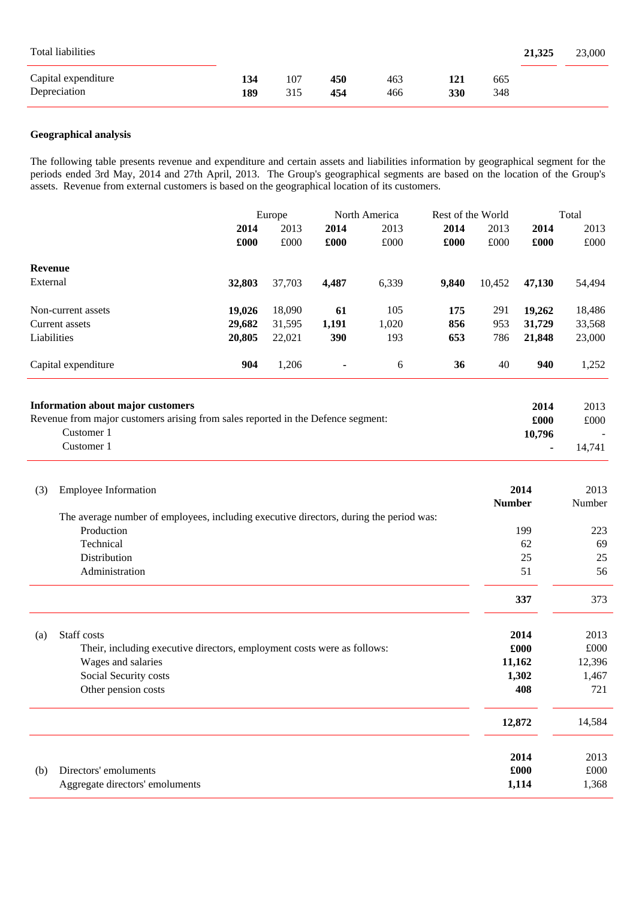| Total liabilities                   |            |            |            |            |            |            | 21,325 | 23,000 |
|-------------------------------------|------------|------------|------------|------------|------------|------------|--------|--------|
| Capital expenditure<br>Depreciation | 134<br>189 | 107<br>315 | 450<br>454 | 463<br>466 | 121<br>330 | 665<br>348 |        |        |

#### **Geographical analysis**

The following table presents revenue and expenditure and certain assets and liabilities information by geographical segment for the periods ended 3rd May, 2014 and 27th April, 2013. The Group's geographical segments are based on the location of the Group's assets. Revenue from external customers is based on the geographical location of its customers.

|                                                                                  |        | Europe |       | Rest of the World |       | North America |        |        |  | Total |
|----------------------------------------------------------------------------------|--------|--------|-------|-------------------|-------|---------------|--------|--------|--|-------|
|                                                                                  | 2014   | 2013   | 2014  | 2013              | 2014  | 2013          | 2014   | 2013   |  |       |
|                                                                                  | £000   | £000   | £000  | £000              | £000  | £000          | £000   | £000   |  |       |
| <b>Revenue</b>                                                                   |        |        |       |                   |       |               |        |        |  |       |
| External                                                                         | 32,803 | 37,703 | 4,487 | 6,339             | 9,840 | 10,452        | 47,130 | 54,494 |  |       |
| Non-current assets                                                               | 19,026 | 18,090 | 61    | 105               | 175   | 291           | 19,262 | 18,486 |  |       |
| Current assets                                                                   | 29,682 | 31,595 | 1,191 | 1,020             | 856   | 953           | 31,729 | 33,568 |  |       |
| Liabilities                                                                      | 20,805 | 22,021 | 390   | 193               | 653   | 786           | 21,848 | 23,000 |  |       |
| Capital expenditure                                                              | 904    | 1,206  | ٠     | 6                 | 36    | 40            | 940    | 1,252  |  |       |
| <b>Information about major customers</b>                                         |        |        |       |                   |       |               | 2014   | 2013   |  |       |
| Revenue from major customers arising from sales reported in the Defence segment: |        |        |       |                   |       |               | £000   | £000   |  |       |
| Customer 1                                                                       |        |        |       |                   |       |               | 10,796 |        |  |       |
| Customer 1                                                                       |        |        |       |                   |       |               |        | 14,741 |  |       |

| (3) | <b>Employee Information</b>                                                            | 2014<br><b>Number</b> | 2013<br>Number |
|-----|----------------------------------------------------------------------------------------|-----------------------|----------------|
|     | The average number of employees, including executive directors, during the period was: |                       |                |
|     | Production                                                                             | 199                   | 223            |
|     | Technical                                                                              | 62                    | 69             |
|     | Distribution                                                                           | 25                    | 25             |
|     | Administration                                                                         | 51                    | 56             |
|     |                                                                                        | 337                   | 373            |
| (a) | Staff costs                                                                            | 2014                  | 2013           |
|     | Their, including executive directors, employment costs were as follows:                | £000                  | £000           |
|     | Wages and salaries                                                                     | 11,162                | 12,396         |
|     | Social Security costs                                                                  | 1,302                 | 1,467          |
|     | Other pension costs                                                                    | 408                   | 721            |
|     |                                                                                        | 12,872                | 14,584         |
|     |                                                                                        | 2014                  | 2013           |
| (b) | Directors' emoluments                                                                  | £000                  | £000           |
|     | Aggregate directors' emoluments                                                        | 1,114                 | 1,368          |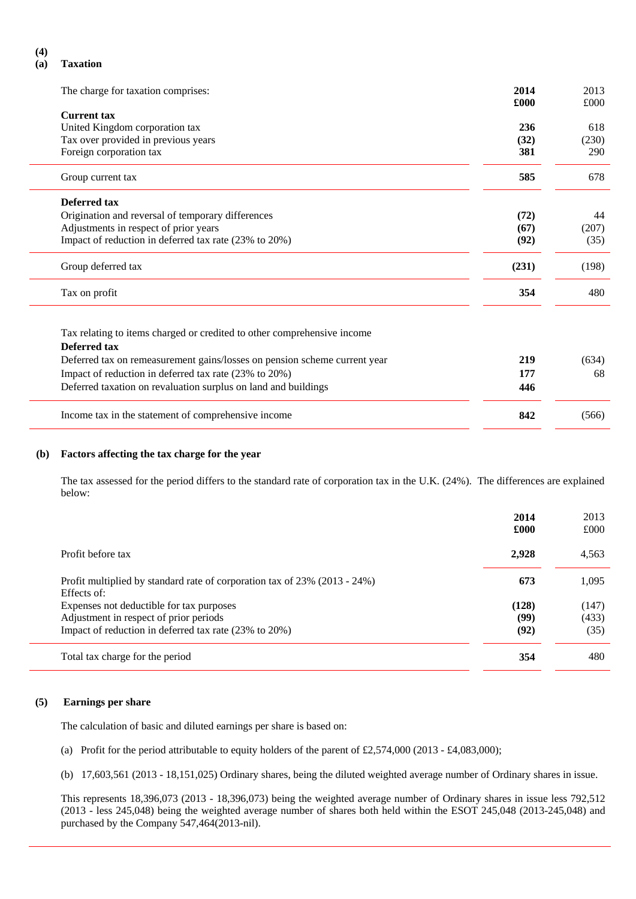#### **(4)**

#### **(a) Taxation**

| The charge for taxation comprises:                                        | 2014<br>£000 | 2013<br>£000 |
|---------------------------------------------------------------------------|--------------|--------------|
| <b>Current tax</b>                                                        |              |              |
| United Kingdom corporation tax                                            | 236          | 618          |
| Tax over provided in previous years                                       | (32)         | (230)        |
| Foreign corporation tax                                                   | 381          | 290          |
|                                                                           |              |              |
| Group current tax                                                         | 585          | 678          |
| Deferred tax                                                              |              |              |
| Origination and reversal of temporary differences                         | (72)         | 44           |
| Adjustments in respect of prior years                                     | (67)         | (207)        |
| Impact of reduction in deferred tax rate (23% to 20%)                     | (92)         | (35)         |
| Group deferred tax                                                        | (231)        | (198)        |
| Tax on profit                                                             | 354          | 480          |
|                                                                           |              |              |
| Tax relating to items charged or credited to other comprehensive income   |              |              |
| <b>Deferred tax</b>                                                       |              |              |
| Deferred tax on remeasurement gains/losses on pension scheme current year | 219          | (634)        |
| Impact of reduction in deferred tax rate (23% to 20%)                     | 177          | 68           |
| Deferred taxation on revaluation surplus on land and buildings            | 446          |              |
| Income tax in the statement of comprehensive income                       | 842          | (566)        |
|                                                                           |              |              |

#### **(b) Factors affecting the tax charge for the year**

The tax assessed for the period differs to the standard rate of corporation tax in the U.K. (24%). The differences are explained below:

|                                                                                          | 2014<br>£000 | 2013<br>£000 |
|------------------------------------------------------------------------------------------|--------------|--------------|
| Profit before tax                                                                        | 2,928        | 4,563        |
| Profit multiplied by standard rate of corporation tax of 23% (2013 - 24%)<br>Effects of: | 673          | 1,095        |
| Expenses not deductible for tax purposes                                                 | (128)        | (147)        |
| Adjustment in respect of prior periods                                                   | (99)         | (433)        |
| Impact of reduction in deferred tax rate (23% to 20%)                                    | (92)         | (35)         |
| Total tax charge for the period                                                          | 354          | 480          |

#### **(5) Earnings per share**

The calculation of basic and diluted earnings per share is based on:

- (a) Profit for the period attributable to equity holders of the parent of £2,574,000 (2013 £4,083,000);
- (b) 17,603,561 (2013 18,151,025) Ordinary shares, being the diluted weighted average number of Ordinary shares in issue.

This represents 18,396,073 (2013 - 18,396,073) being the weighted average number of Ordinary shares in issue less 792,512 (2013 - less 245,048) being the weighted average number of shares both held within the ESOT 245,048 (2013-245,048) and purchased by the Company 547,464(2013-nil).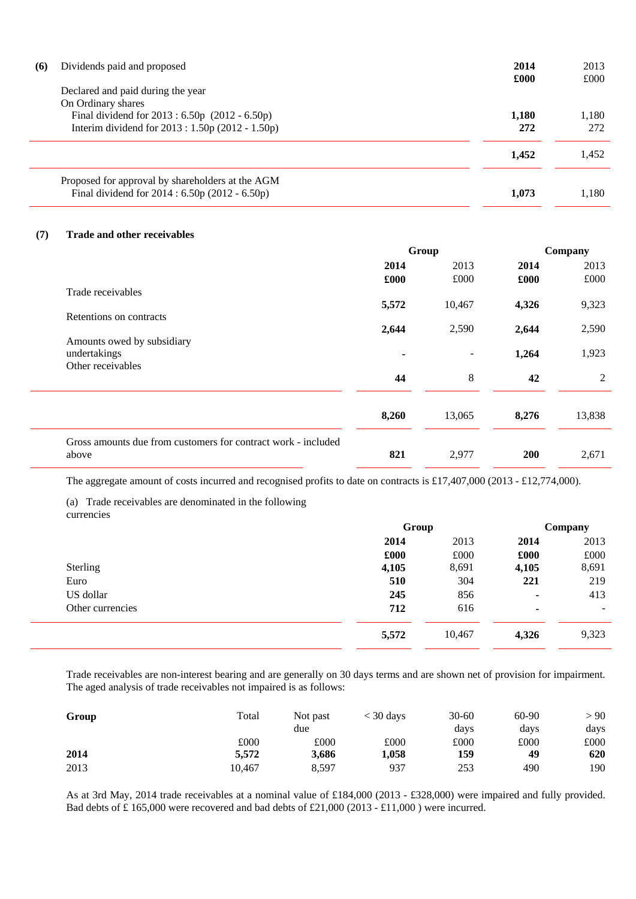| (6)<br>Dividends paid and proposed<br>Declared and paid during the year                                                   | 2014<br>£000 | 2013<br>£000 |
|---------------------------------------------------------------------------------------------------------------------------|--------------|--------------|
| On Ordinary shares<br>Final dividend for 2013 : 6.50p (2012 - 6.50p)<br>Interim dividend for $2013 : 1.50p(2012 - 1.50p)$ | 1,180<br>272 | 1,180<br>272 |
|                                                                                                                           | 1.452        | 1.452        |
| Proposed for approval by shareholders at the AGM<br>Final dividend for 2014 : 6.50p (2012 - 6.50p)                        | 1.073        | 1,180        |

#### **(7) Trade and other receivables**

|                                                               | Group          |                          | Company |        |
|---------------------------------------------------------------|----------------|--------------------------|---------|--------|
|                                                               | 2014           | 2013                     | 2014    | 2013   |
|                                                               | £000           | £000                     | £000    | £000   |
| Trade receivables                                             |                |                          |         |        |
|                                                               | 5,572          | 10,467                   | 4,326   | 9,323  |
| Retentions on contracts                                       | 2,644          | 2,590                    | 2,644   | 2,590  |
| Amounts owed by subsidiary                                    |                |                          |         |        |
| undertakings                                                  | $\blacksquare$ | $\overline{\phantom{a}}$ | 1,264   | 1,923  |
| Other receivables                                             |                |                          |         |        |
|                                                               | 44             | 8                        | 42      | 2      |
|                                                               |                |                          |         |        |
|                                                               | 8,260          | 13,065                   | 8,276   | 13,838 |
| Gross amounts due from customers for contract work - included |                |                          |         |        |
| above                                                         | 821            | 2,977                    | 200     | 2,671  |

The aggregate amount of costs incurred and recognised profits to date on contracts is £17,407,000 (2013 - £12,774,000).

(a) Trade receivables are denominated in the following currencies

|                  | Group |        | Company |        |
|------------------|-------|--------|---------|--------|
|                  | 2014  | 2013   | 2014    | 2013   |
|                  | £000  | £000   | £000    | £000   |
| Sterling         | 4,105 | 8,691  | 4,105   | 8,691  |
| Euro             | 510   | 304    | 221     | 219    |
| US dollar        | 245   | 856    | ۰       | 413    |
| Other currencies | 712   | 616    | ۰       | $\sim$ |
|                  | 5,572 | 10,467 | 4,326   | 9,323  |

Trade receivables are non-interest bearing and are generally on 30 days terms and are shown net of provision for impairment. The aged analysis of trade receivables not impaired is as follows:

| Group | Total  | Not past | $<$ 30 days | $30 - 60$ | 60-90 | > 90 |
|-------|--------|----------|-------------|-----------|-------|------|
|       |        | due      |             | days      | days  | days |
|       | £000   | £000     | £000        | £000      | £000  | £000 |
| 2014  | 5.572  | 3,686    | 1,058       | 159       | 49    | 620  |
| 2013  | 10,467 | 8.597    | 937         | 253       | 490   | 190  |

As at 3rd May, 2014 trade receivables at a nominal value of £184,000 (2013 - £328,000) were impaired and fully provided. Bad debts of £ 165,000 were recovered and bad debts of £21,000 (2013 - £11,000 ) were incurred.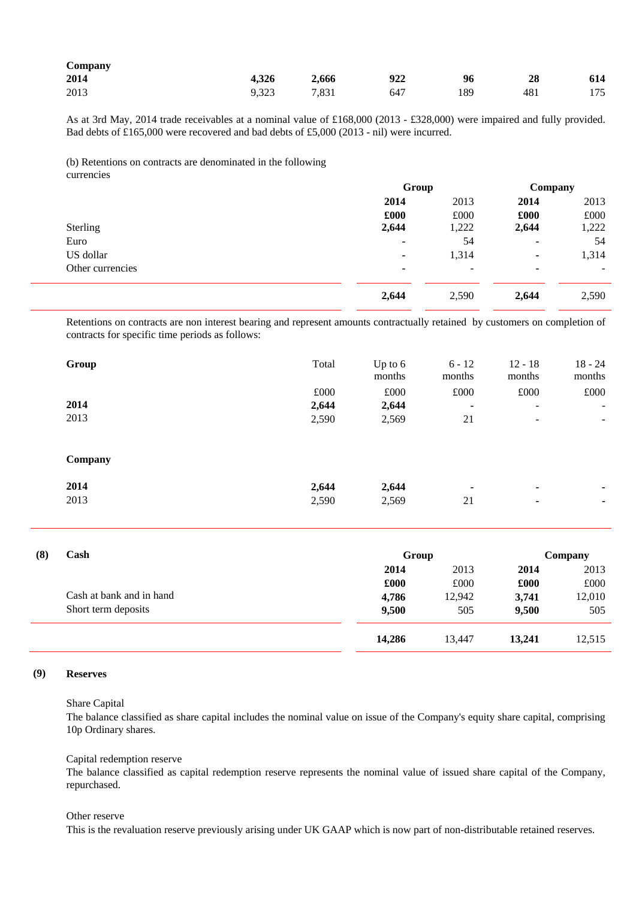| $\mathcal{L}$ ompany |       |       |     |     |     |     |
|----------------------|-------|-------|-----|-----|-----|-----|
| 2014                 | 4,326 | 2,666 | 922 | 96  | 28  | 614 |
| 2013                 | 9.323 | 7,831 | 647 | 189 | 481 | 175 |

As at 3rd May, 2014 trade receivables at a nominal value of £168,000 (2013 - £328,000) were impaired and fully provided. Bad debts of £165,000 were recovered and bad debts of £5,000 (2013 - nil) were incurred.

(b) Retentions on contracts are denominated in the following currencies

|                  |       | Group                    |       | Company |  |
|------------------|-------|--------------------------|-------|---------|--|
|                  | 2014  | 2013                     | 2014  | 2013    |  |
|                  | £000  | £000                     | £000  | £000    |  |
| Sterling         | 2,644 | 1,222                    | 2,644 | 1,222   |  |
| Euro             | ۰     | 54                       | ۰     | 54      |  |
| US dollar        | ۰     | 1,314                    | ۰     | 1,314   |  |
| Other currencies | ۰     | $\overline{\phantom{a}}$ |       | ۰.      |  |
|                  | 2,644 | 2,590                    | 2,644 | 2,590   |  |

Retentions on contracts are non interest bearing and represent amounts contractually retained by customers on completion of contracts for specific time periods as follows:

|     | Group                    | Total | Up to $6$<br>months | $6 - 12$<br>months | $12 - 18$<br>months | $18 - 24$<br>months |
|-----|--------------------------|-------|---------------------|--------------------|---------------------|---------------------|
|     |                          | £000  | £000                | £000               | £000                | £000                |
|     | 2014                     | 2,644 | 2,644               | $\blacksquare$     | $\blacksquare$      |                     |
|     | 2013                     | 2,590 | 2,569               | 21                 |                     |                     |
|     | Company                  |       |                     |                    |                     |                     |
|     | 2014                     | 2,644 | 2,644               |                    | ٠                   |                     |
|     | 2013                     | 2,590 | 2,569               | 21                 | ۰                   |                     |
| (8) | Cash                     |       | Group               |                    |                     | Company             |
|     |                          |       | 2014                | 2013               | 2014                | 2013                |
|     |                          |       | £000                | £000               | £000                | £000                |
|     | Cash at bank and in hand |       | 4,786               | 12,942             | 3,741               | 12,010              |
|     | Short term deposits      |       | 9,500               | 505                | 9,500               | 505                 |
|     |                          |       | 14,286              | 13,447             | 13,241              | 12,515              |

#### **(9) Reserves**

Share Capital

The balance classified as share capital includes the nominal value on issue of the Company's equity share capital, comprising 10p Ordinary shares.

Capital redemption reserve

The balance classified as capital redemption reserve represents the nominal value of issued share capital of the Company, repurchased.

Other reserve

This is the revaluation reserve previously arising under UK GAAP which is now part of non-distributable retained reserves.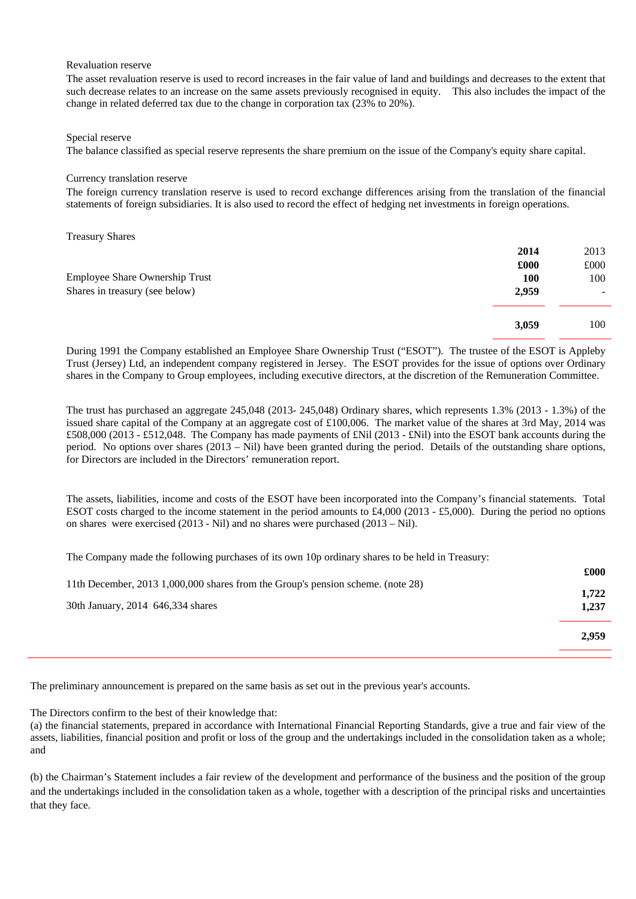Revaluation reserve

The asset revaluation reserve is used to record increases in the fair value of land and buildings and decreases to the extent that such decrease relates to an increase on the same assets previously recognised in equity. This also includes the impact of the change in related deferred tax due to the change in corporation tax (23% to 20%).

#### Special reserve

The balance classified as special reserve represents the share premium on the issue of the Company's equity share capital.

#### Currency translation reserve

The foreign currency translation reserve is used to record exchange differences arising from the translation of the financial statements of foreign subsidiaries. It is also used to record the effect of hedging net investments in foreign operations.

| <b>Treasury Shares</b>         |            |      |
|--------------------------------|------------|------|
|                                | 2014       | 2013 |
|                                | £000       | £000 |
| Employee Share Ownership Trust | <b>100</b> | 100  |
| Shares in treasury (see below) | 2,959      | ۰.   |
|                                | 3,059      | 100  |
|                                |            |      |

During 1991 the Company established an Employee Share Ownership Trust ("ESOT"). The trustee of the ESOT is Appleby Trust (Jersey) Ltd, an independent company registered in Jersey. The ESOT provides for the issue of options over Ordinary shares in the Company to Group employees, including executive directors, at the discretion of the Remuneration Committee.

The trust has purchased an aggregate 245,048 (2013- 245,048) Ordinary shares, which represents 1.3% (2013 - 1.3%) of the issued share capital of the Company at an aggregate cost of £100,006. The market value of the shares at 3rd May, 2014 was £508,000 (2013 - £512,048. The Company has made payments of £Nil (2013 - £Nil) into the ESOT bank accounts during the period. No options over shares (2013 – Nil) have been granted during the period. Details of the outstanding share options, for Directors are included in the Directors' remuneration report.

The assets, liabilities, income and costs of the ESOT have been incorporated into the Company's financial statements. Total ESOT costs charged to the income statement in the period amounts to £4,000 (2013 - £5,000). During the period no options on shares were exercised  $(2013 - Nil)$  and no shares were purchased  $(2013 - Nil)$ .

The Company made the following purchases of its own 10p ordinary shares to be held in Treasury:

|                                                                                 | £000  |
|---------------------------------------------------------------------------------|-------|
| 11th December, 2013 1,000,000 shares from the Group's pension scheme. (note 28) | 1,722 |
| 30th January, 2014 646,334 shares                                               | 1,237 |
|                                                                                 | 2,959 |
|                                                                                 |       |

The preliminary announcement is prepared on the same basis as set out in the previous year's accounts.

The Directors confirm to the best of their knowledge that:<br>(a) the financial statements, prepared in accordance with International Financial Reporting Standards, give a true and fair view of the assets, liabilities, financial position and profit or loss of the group and the undertakings included in the consolidation taken as a whole; and

(b) the Chairman's Statement includes a fair review of the development and performance of the business and the position of the group and the undertakings included in the consolidation taken as a whole, together with a description of the principal risks and uncertainties that they face.